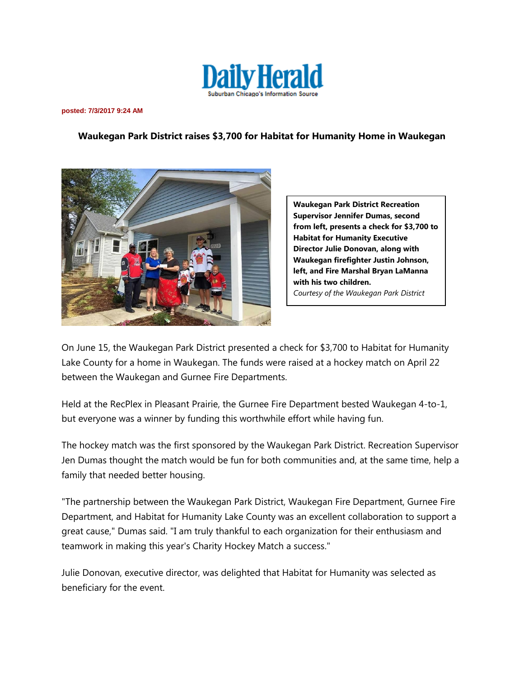

**posted: 7/3/2017 9:24 AM**

## **Waukegan Park District raises \$3,700 for Habitat for Humanity Home in Waukegan**



**Waukegan Park District Recreation Supervisor Jennifer Dumas, second from left, presents a check for \$3,700 to Habitat for Humanity Executive Director Julie Donovan, along with Waukegan firefighter Justin Johnson, left, and Fire Marshal Bryan LaManna with his two children.** *Courtesy of the Waukegan Park District*

On June 15, the Waukegan Park District presented a check for \$3,700 to Habitat for Humanity Lake County for a home in Waukegan. The funds were raised at a hockey match on April 22 between the Waukegan and Gurnee Fire Departments.

Held at the RecPlex in Pleasant Prairie, the Gurnee Fire Department bested Waukegan 4-to-1, but everyone was a winner by funding this worthwhile effort while having fun.

The hockey match was the first sponsored by the Waukegan Park District. Recreation Supervisor Jen Dumas thought the match would be fun for both communities and, at the same time, help a family that needed better housing.

"The partnership between the Waukegan Park District, Waukegan Fire Department, Gurnee Fire Department, and Habitat for Humanity Lake County was an excellent collaboration to support a great cause," Dumas said. "I am truly thankful to each organization for their enthusiasm and teamwork in making this year's Charity Hockey Match a success."

Julie Donovan, executive director, was delighted that Habitat for Humanity was selected as beneficiary for the event.